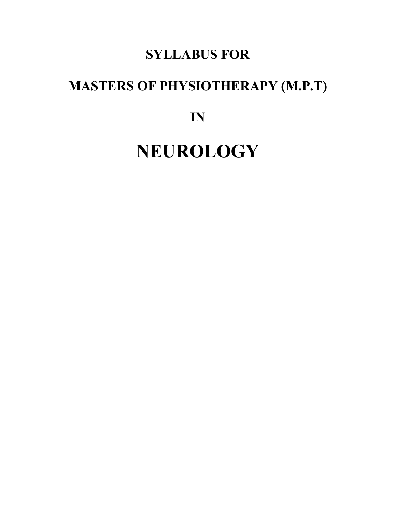## **SYLLABUS FOR**

# **MASTERS OF PHYSIOTHERAPY (M.P.T)**

**IN**

# **NEUROLOGY**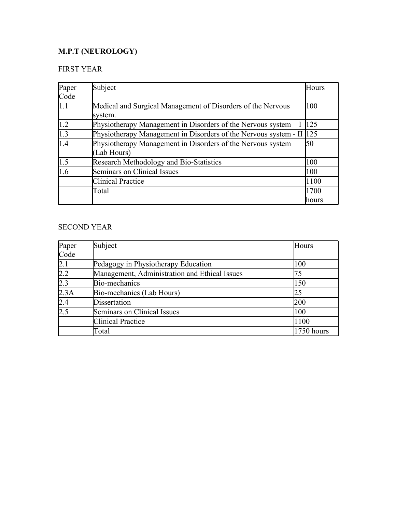## **M.P.T (NEUROLOGY)**

## FIRST YEAR

| Paper       | Subject                                                          | Hours  |
|-------------|------------------------------------------------------------------|--------|
| Code        |                                                                  |        |
| 1.1         | Medical and Surgical Management of Disorders of the Nervous      | 100    |
|             | system.                                                          |        |
| 1.2         | Physiotherapy Management in Disorders of the Nervous system $-I$ | 125    |
| $\vert$ 1.3 | Physiotherapy Management in Disorders of the Nervous system - II | 125    |
| 1.4         | Physiotherapy Management in Disorders of the Nervous system –    | 50     |
|             | (Lab Hours)                                                      |        |
| 1.5         | <b>Research Methodology and Bio-Statistics</b>                   | 100    |
| 1.6         | Seminars on Clinical Issues                                      | 100    |
|             | <b>Clinical Practice</b>                                         | 1100   |
|             | Total                                                            | 1700   |
|             |                                                                  | lhours |

## SECOND YEAR

| Paper | Subject                                       | Hours      |
|-------|-----------------------------------------------|------------|
| Code  |                                               |            |
| 2.1   | Pedagogy in Physiotherapy Education           | 100        |
| 2.2   | Management, Administration and Ethical Issues | 75         |
| 2.3   | Bio-mechanics                                 | 150        |
| 2.3A  | Bio-mechanics (Lab Hours)                     | 25         |
| 2.4   | <b>Dissertation</b>                           | 200        |
| 2.5   | Seminars on Clinical Issues                   | 100        |
|       | <b>Clinical Practice</b>                      | 1100       |
|       | Total                                         | 1750 hours |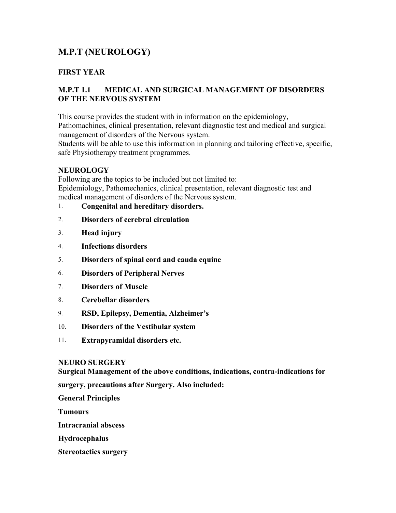## **M.P.T (NEUROLOGY)**

## **FIRST YEAR**

## **M.P.T 1.1 MEDICAL AND SURGICAL MANAGEMENT OF DISORDERS OF THE NERVOUS SYSTEM**

This course provides the student with in information on the epidemiology, Pathomachincs, clinical presentation, relevant diagnostic test and medical and surgical management of disorders of the Nervous system.

Students will be able to use this information in planning and tailoring effective, specific, safe Physiotherapy treatment programmes.

## **NEUROLOGY**

Following are the topics to be included but not limited to: Epidemiology, Pathomechanics, clinical presentation, relevant diagnostic test and medical management of disorders of the Nervous system.

- 1. **Congenital and hereditary disorders.**
- 2. **Disorders of cerebral circulation**
- 3. **Head injury**
- 4. **Infections disorders**
- 5. **Disorders of spinal cord and cauda equine**
- 6. **Disorders of Peripheral Nerves**
- 7. **Disorders of Muscle**
- 8. **Cerebellar disorders**
- 9. **RSD, Epilepsy, Dementia, Alzheimer's**
- 10. **Disorders of the Vestibular system**
- 11. **Extrapyramidal disorders etc.**

#### **NEURO SURGERY**

**Surgical Management of the above conditions, indications, contra-indications for** 

**surgery, precautions after Surgery. Also included:**

**General Principles**

**Tumours**

**Intracranial abscess** 

**Hydrocephalus** 

**Stereotactics surgery**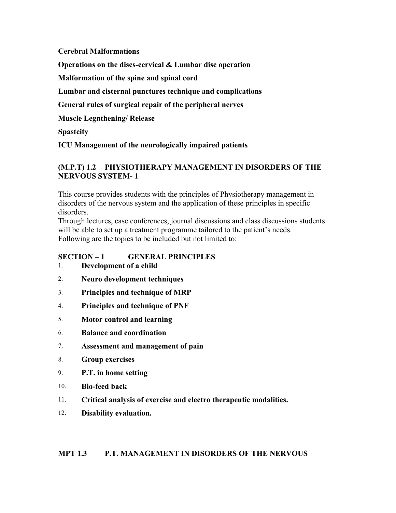**Cerebral Malformations** 

**Operations on the discs-cervical & Lumbar disc operation**

**Malformation of the spine and spinal cord**

**Lumbar and cisternal punctures technique and complications** 

**General rules of surgical repair of the peripheral nerves**

**Muscle Legnthening/ Release** 

**Spastcity** 

**ICU Management of the neurologically impaired patients** 

## **(M.P.T) 1.2 PHYSIOTHERAPY MANAGEMENT IN DISORDERS OF THE NERVOUS SYSTEM- 1**

This course provides students with the principles of Physiotherapy management in disorders of the nervous system and the application of these principles in specific disorders.

Through lectures, case conferences, journal discussions and class discussions students will be able to set up a treatment programme tailored to the patient's needs. Following are the topics to be included but not limited to:

## **SECTION – 1 GENERAL PRINCIPLES**

- 1. **Development of a child**
- 2. **Neuro development techniques**
- 3. **Principles and technique of MRP**
- 4. **Principles and technique of PNF**
- 5. **Motor control and learning**
- 6. **Balance and coordination**
- 7. **Assessment and management of pain**
- 8. **Group exercises**
- 9. **P.T. in home setting**
- 10. **Bio-feed back**
- 11. **Critical analysis of exercise and electro therapeutic modalities.**
- 12. **Disability evaluation.**

#### **MPT 1.3 P.T. MANAGEMENT IN DISORDERS OF THE NERVOUS**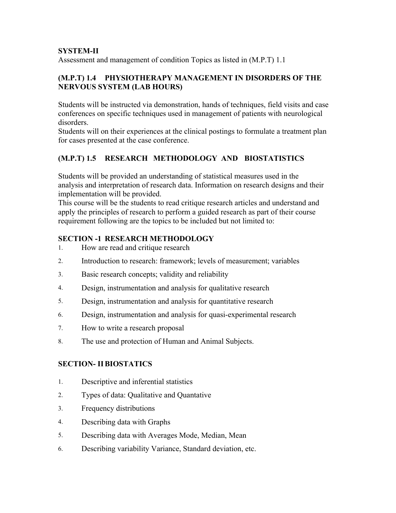## **SYSTEM-II**

Assessment and management of condition Topics as listed in (M.P.T) 1.1

## **(M.P.T) 1.4 PHYSIOTHERAPY MANAGEMENT IN DISORDERS OF THE NERVOUS SYSTEM (LAB HOURS)**

Students will be instructed via demonstration, hands of techniques, field visits and case conferences on specific techniques used in management of patients with neurological disorders.

Students will on their experiences at the clinical postings to formulate a treatment plan for cases presented at the case conference.

## **(M.P.T) 1.5 RESEARCH METHODOLOGY AND BIOSTATISTICS**

Students will be provided an understanding of statistical measures used in the analysis and interpretation of research data. Information on research designs and their implementation will be provided.

This course will be the students to read critique research articles and understand and apply the principles of research to perform a guided research as part of their course requirement following are the topics to be included but not limited to:

## **SECTION -1 RESEARCH METHODOLOGY**

- 1. How are read and critique research
- 2. Introduction to research: framework; levels of measurement; variables
- 3. Basic research concepts; validity and reliability
- 4. Design, instrumentation and analysis for qualitative research
- 5. Design, instrumentation and analysis for quantitative research
- 6. Design, instrumentation and analysis for quasi-experimental research
- 7. How to write a research proposal
- 8. The use and protection of Human and Animal Subjects.

## **SECTION- IIBIOSTATICS**

- 1. Descriptive and inferential statistics
- 2. Types of data: Qualitative and Quantative
- 3. Frequency distributions
- 4. Describing data with Graphs
- 5. Describing data with Averages Mode, Median, Mean
- 6. Describing variability Variance, Standard deviation, etc.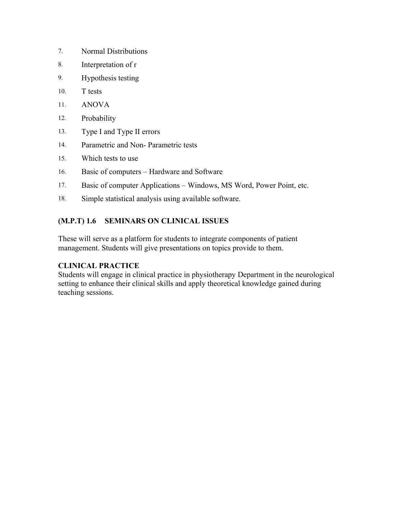- 7. Normal Distributions
- 8. Interpretation of r
- 9. Hypothesis testing
- 10. T tests
- 11. ANOVA
- 12. Probability
- 13. Type I and Type II errors
- 14. Parametric and Non- Parametric tests
- 15. Which tests to use
- 16. Basic of computers Hardware and Software
- 17. Basic of computer Applications Windows, MS Word, Power Point, etc.
- 18. Simple statistical analysis using available software.

## **(M.P.T) 1.6 SEMINARS ON CLINICAL ISSUES**

These will serve as a platform for students to integrate components of patient management. Students will give presentations on topics provide to them.

## **CLINICAL PRACTICE**

Students will engage in clinical practice in physiotherapy Department in the neurological setting to enhance their clinical skills and apply theoretical knowledge gained during teaching sessions.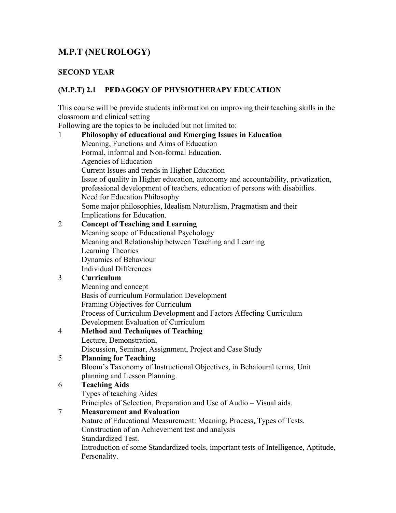## **M.P.T (NEUROLOGY)**

## **SECOND YEAR**

## **(M.P.T) 2.1 PEDAGOGY OF PHYSIOTHERAPY EDUCATION**

This course will be provide students information on improving their teaching skills in the classroom and clinical setting

Following are the topics to be included but not limited to:

## 1 **Philosophy of educational and Emerging Issues in Education** Meaning, Functions and Aims of Education Formal, informal and Non-formal Education. Agencies of Education Current Issues and trends in Higher Education Issue of quality in Higher education, autonomy and accountability, privatization, professional development of teachers, education of persons with disabitlies. Need for Education Philosophy Some major philosophies, Idealism Naturalism, Pragmatism and their Implications for Education. 2 **Concept of Teaching and Learning**

Meaning scope of Educational Psychology Meaning and Relationship between Teaching and Learning Learning Theories Dynamics of Behaviour Individual Differences

## 3 **Curriculum**

Meaning and concept Basis of curriculum Formulation Development Framing Objectives for Curriculum Process of Curriculum Development and Factors Affecting Curriculum Development Evaluation of Curriculum

## 4 **Method and Techniques of Teaching**  Lecture, Demonstration,

Discussion, Seminar, Assignment, Project and Case Study

## 5 **Planning for Teaching**

Bloom's Taxonomy of Instructional Objectives, in Behaioural terms, Unit planning and Lesson Planning.

## 6 **Teaching Aids**

Types of teaching Aides

Principles of Selection, Preparation and Use of Audio – Visual aids.

## 7 **Measurement and Evaluation**

Nature of Educational Measurement: Meaning, Process, Types of Tests. Construction of an Achievement test and analysis Standardized Test. Introduction of some Standardized tools, important tests of Intelligence, Aptitude, Personality.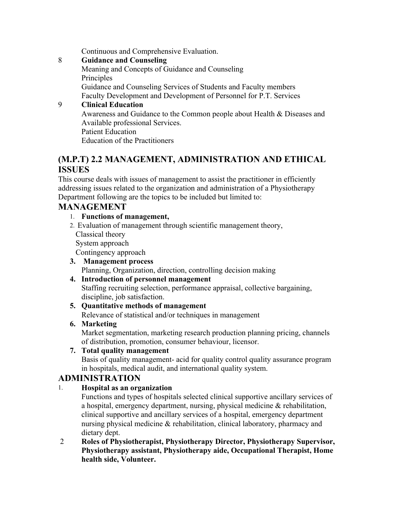Continuous and Comprehensive Evaluation.

8 **Guidance and Counseling**

Meaning and Concepts of Guidance and Counseling Principles Guidance and Counseling Services of Students and Faculty members Faculty Development and Development of Personnel for P.T. Services

## 9 **Clinical Education**

Awareness and Guidance to the Common people about Health & Diseases and Available professional Services.

Patient Education

Education of the Practitioners

## **(M.P.T) 2.2 MANAGEMENT, ADMINISTRATION AND ETHICAL ISSUES**

This course deals with issues of management to assist the practitioner in efficiently addressing issues related to the organization and administration of a Physiotherapy Department following are the topics to be included but limited to:

## **MANAGEMENT**

## 1. **Functions of management,**

2. Evaluation of management through scientific management theory,

Classical theory

System approach

Contingency approach

## **3. Management process** Planning, Organization, direction, controlling decision making

## **4. Introduction of personnel management**

Staffing recruiting selection, performance appraisal, collective bargaining, discipline, job satisfaction.

## **5. Quantitative methods of management**

Relevance of statistical and/or techniques in management

## **6. Marketing**

Market segmentation, marketing research production planning pricing, channels of distribution, promotion, consumer behaviour, licensor.

## **7. Total quality management**

Basis of quality management- acid for quality control quality assurance program in hospitals, medical audit, and international quality system.

## **ADMINISTRATION**

## 1. **Hospital as an organization**

Functions and types of hospitals selected clinical supportive ancillary services of a hospital, emergency department, nursing, physical medicine & rehabilitation, clinical supportive and ancillary services of a hospital, emergency department nursing physical medicine & rehabilitation, clinical laboratory, pharmacy and dietary dept.

 2 **Roles of Physiotherapist, Physiotherapy Director, Physiotherapy Supervisor, Physiotherapy assistant, Physiotherapy aide, Occupational Therapist, Home health side, Volunteer.**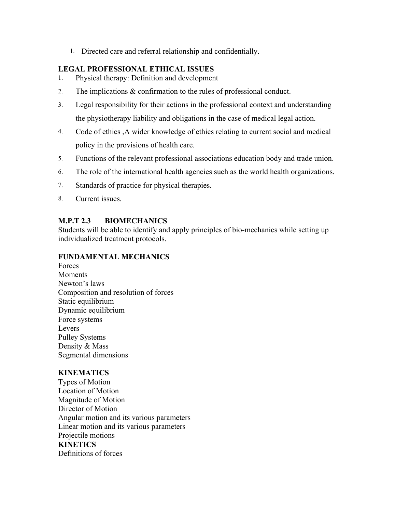1. Directed care and referral relationship and confidentially.

#### **LEGAL PROFESSIONAL ETHICAL ISSUES**

- 1. Physical therapy: Definition and development
- 2. The implications & confirmation to the rules of professional conduct.
- 3. Legal responsibility for their actions in the professional context and understanding the physiotherapy liability and obligations in the case of medical legal action.
- 4. Code of ethics ,A wider knowledge of ethics relating to current social and medical policy in the provisions of health care.
- 5. Functions of the relevant professional associations education body and trade union.
- 6. The role of the international health agencies such as the world health organizations.
- 7. Standards of practice for physical therapies.
- 8. Current issues.

## **M.P.T 2.3 BIOMECHANICS**

Students will be able to identify and apply principles of bio-mechanics while setting up individualized treatment protocols.

#### **FUNDAMENTAL MECHANICS**

Forces Moments Newton's laws Composition and resolution of forces Static equilibrium Dynamic equilibrium Force systems Levers Pulley Systems Density & Mass Segmental dimensions

## **KINEMATICS**

Types of Motion Location of Motion Magnitude of Motion Director of Motion Angular motion and its various parameters Linear motion and its various parameters Projectile motions **KINETICS**  Definitions of forces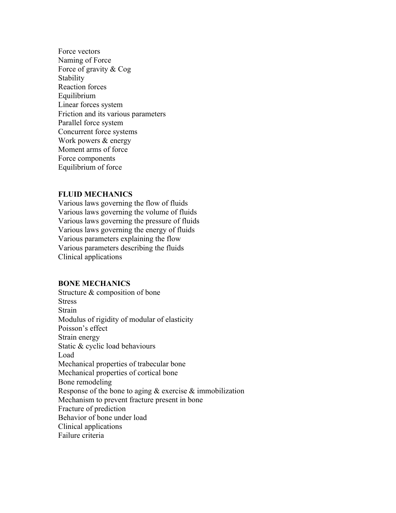Force vectors Naming of Force Force of gravity & Cog **Stability** Reaction forces Equilibrium Linear forces system Friction and its various parameters Parallel force system Concurrent force systems Work powers & energy Moment arms of force Force components Equilibrium of force

#### **FLUID MECHANICS**

Various laws governing the flow of fluids Various laws governing the volume of fluids Various laws governing the pressure of fluids Various laws governing the energy of fluids Various parameters explaining the flow Various parameters describing the fluids Clinical applications

#### **BONE MECHANICS**

Structure & composition of bone **Stress** Strain Modulus of rigidity of modular of elasticity Poisson's effect Strain energy Static & cyclic load behaviours Load Mechanical properties of trabecular bone Mechanical properties of cortical bone Bone remodeling Response of the bone to aging  $\&$  exercise  $\&$  immobilization Mechanism to prevent fracture present in bone Fracture of prediction Behavior of bone under load Clinical applications Failure criteria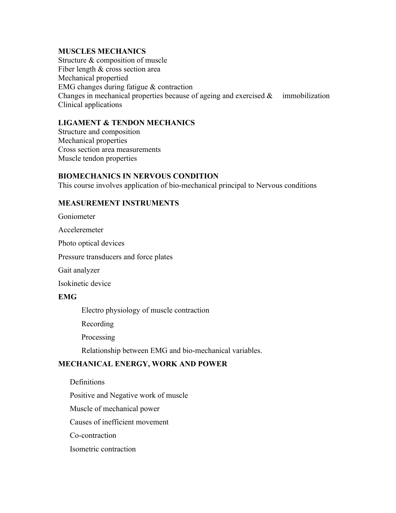#### **MUSCLES MECHANICS**

Structure & composition of muscle Fiber length & cross section area Mechanical propertied EMG changes during fatigue & contraction Changes in mechanical properties because of ageing and exercised  $\&$  immobilization Clinical applications

## **LIGAMENT & TENDON MECHANICS**

Structure and composition Mechanical properties Cross section area measurements Muscle tendon properties

#### **BIOMECHANICS IN NERVOUS CONDITION**

This course involves application of bio-mechanical principal to Nervous conditions

#### **MEASUREMENT INSTRUMENTS**

Goniometer

Acceleremeter

Photo optical devices

Pressure transducers and force plates

Gait analyzer

Isokinetic device

#### **EMG**

Electro physiology of muscle contraction

Recording

Processing

Relationship between EMG and bio-mechanical variables.

#### **MECHANICAL ENERGY, WORK AND POWER**

**Definitions** 

Positive and Negative work of muscle

Muscle of mechanical power

Causes of inefficient movement

Co-contraction

Isometric contraction